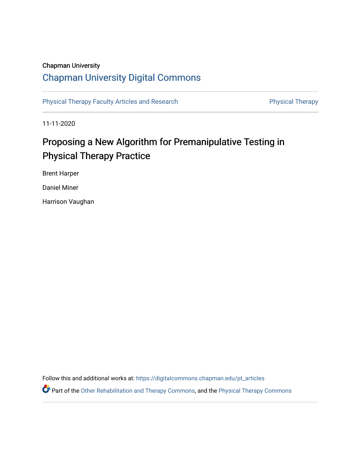## Chapman University

# [Chapman University Digital Commons](https://digitalcommons.chapman.edu/)

[Physical Therapy Faculty Articles and Research](https://digitalcommons.chapman.edu/pt_articles) **Physical Therapy** Physical Therapy

11-11-2020

# Proposing a New Algorithm for Premanipulative Testing in Physical Therapy Practice

Brent Harper

Daniel Miner

Harrison Vaughan

Follow this and additional works at: [https://digitalcommons.chapman.edu/pt\\_articles](https://digitalcommons.chapman.edu/pt_articles?utm_source=digitalcommons.chapman.edu%2Fpt_articles%2F135&utm_medium=PDF&utm_campaign=PDFCoverPages) 

Part of the [Other Rehabilitation and Therapy Commons,](http://network.bepress.com/hgg/discipline/758?utm_source=digitalcommons.chapman.edu%2Fpt_articles%2F135&utm_medium=PDF&utm_campaign=PDFCoverPages) and the [Physical Therapy Commons](http://network.bepress.com/hgg/discipline/754?utm_source=digitalcommons.chapman.edu%2Fpt_articles%2F135&utm_medium=PDF&utm_campaign=PDFCoverPages)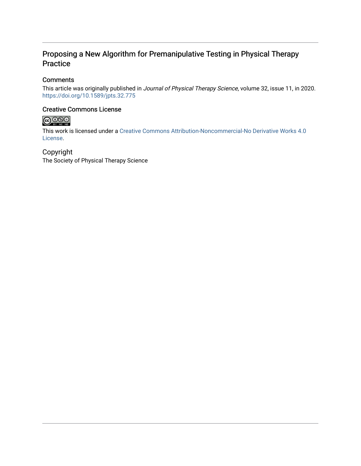# Proposing a New Algorithm for Premanipulative Testing in Physical Therapy Practice

## **Comments**

This article was originally published in Journal of Physical Therapy Science, volume 32, issue 11, in 2020. <https://doi.org/10.1589/jpts.32.775>

### Creative Commons License



This work is licensed under a [Creative Commons Attribution-Noncommercial-No Derivative Works 4.0](https://creativecommons.org/licenses/by-nc-nd/4.0/) [License](https://creativecommons.org/licenses/by-nc-nd/4.0/).

## Copyright

The Society of Physical Therapy Science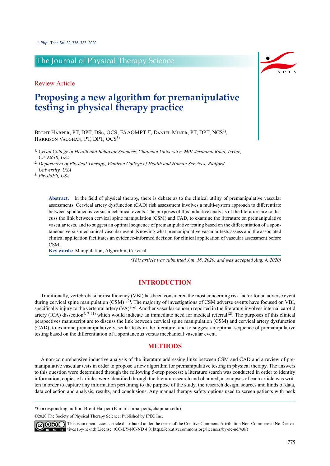## The Journal of Physical Therapy Science

Review Article

# **Proposing a new algorithm for premanipulative testing in physical therapy practice**

BRENT HARPER, PT, DPT, DSc, OCS, FAAOMPT<sup>1)\*</sup>, DANIEL MINER, PT, DPT, NCS<sup>2)</sup>, HARRISON VAUGHAN, PT, DPT, OCS<sup>3)</sup>

*1) Crean College of Health and Behavior Sciences, Chapman University: 9401 Jeronimo Road, Irvine, CA 92618, USA*

*2) Department of Physical Therapy, Waldron College of Health and Human Services, Radford University, USA*

*3) PhysioFit, USA*

Abstract. In the field of physical therapy, there is debate as to the clinical utility of premanipulative vascular assessments. Cervical artery dysfunction (CAD) risk assessment involves a multi-system approach to differentiate between spontaneous versus mechanical events. The purposes of this inductive analysis of the literature are to discuss the link between cervical spine manipulation (CSM) and CAD, to examine the literature on premanipulative vascular tests, and to suggest an optimal sequence of premanipulative testing based on the differentiation of a spontaneous versus mechanical vascular event. Knowing what premanipulative vascular tests assess and the associated clinical application facilitates an evidence-informed decision for clinical application of vascular assessment before CSM.

**Key words:** Manipulation, Algorithm, Cervical

*(This article was submitted Jun. 18, 2020, and was accepted Aug. 4, 2020)*

#### **INTRODUCTION**

Traditionally, vertebrobasilar insufficiency (VBI) has been considered the most concerning risk factor for an adverse event during cervical spine manipulation  $(CSM)^{1,2}$ . The majority of investigations of CSM adverse events have focused on VBI, specifically injury to the vertebral artery  $(VA)^{3-6}$ . Another vascular concern reported in the literature involves internal carotid artery (ICA) dissection<sup>4, 7–11</sup>) which would indicate an immediate need for medical referral<sup>12</sup>. The purposes of this clinical perspectives manuscript are to discuss the link between cervical spine manipulation (CSM) and cervical artery dysfunction (CAD), to examine premanipulative vascular tests in the literature, and to suggest an optimal sequence of premanipulative testing based on the differentiation of a spontaneous versus mechanical vascular event.

### **METHODS**

A non-comprehensive inductive analysis of the literature addressing links between CSM and CAD and a review of premanipulative vascular tests in order to propose a new algorithm for premanipulative testing in physical therapy. The answers to this question were determined through the following 5-step process: a literature search was conducted in order to identify information; copies of articles were identified through the literature search and obtained; a synopses of each article was written in order to capture any information pertaining to the purpose of the study, the research design, sources and kinds of data, data collection and analysis, results, and conclusions. Any manual therapy safety options used to screen patients with neck

\*Corresponding author. Brent Harper (E-mail: brharper@chapman.edu)

©2020 The Society of Physical Therapy Science. Published by IPEC Inc.



 $\widehat{\mathbb{G}(\mathbf{0})}$  This is an open-access article distributed under the terms of the Creative Commons Attribution Non-Commercial No Derivatives (by-nc-nd) License. (CC-BY-NC-ND 4.0: <https://creativecommons.org/licenses/by-nc-nd/4.0/>)

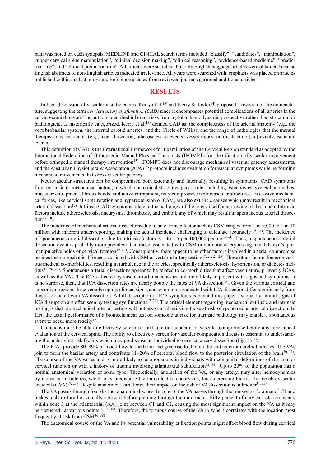pain was noted on each synopsis. MEDLINE and CINHAL search terms included "classify", "candidates", "manipulation", "upper cervical spine manipulation", "clinical decision making", "clinical reasoning", "evidence-based medicine", "predictive rule", and "clinical prediction rule". All articles were searched, but only English language articles were obtained because English abstracts of non-English articles indicated irrelevance. All years were searched with, emphasis was placed on articles published within the last ten-years. Reference articles from reviewed journals garnered additional articles.

### **RESULTS**

In their discussion of vascular insufficiencies, Kerry et al.<sup>[13\)](#page-8-4)</sup> and Kerry & Taylor<sup>[14](#page-8-5))</sup> proposed a revision of the nomenclature, suggesting the term *cervical artery dysfunction (CAD)* since it encompasses potential complications of all arteries in the cervico-cranial region. The authors identified inherent risks from a global hemodynamic perspective rather than structural or pathological, as historically categorized. Kerry et al.<sup>13</sup>) defined CAD as: the completeness of the arterial anatomy (e.g., the vertebrobasilar system, the internal carotid arteries, and the Circle of Willis), and the range of pathologies that the manual therapist may encounter (e.g., local dissection, atherosclerotic events, vessel injury, non-ischaemic [sic] events, ischemic events).

This definition of CAD is the International Framework for Examination of the Cervical Region standard as adopted by the International Federation of Orthopaedic Manual Physical Therapists (IFOMPT) for identification of vascular involvement before orthopedic manual therapy intervention<sup>[15\)](#page-8-6)</sup>. IFOMPT does not discourage mechanical vascular patency assessments, and the Australian Physiotherapy Association  $(APA)^{16}$  $(APA)^{16}$  $(APA)^{16}$  protocol includes evaluation for vascular symptoms while performing mechanical movements that stress vascular patency.

Neurovascular structures can be compromised both externally and internally, resulting in symptoms. CAD symptoms from extrinsic or mechanical factors, in which anatomical structures play a role, including osteophytes, skeletal anomalies, muscular entrapment, fibrous bands, and nerve entrapment, may compromise neurovascular structures. Excessive mechanical forces, like cervical spine rotation and hyperextension or CSM, are also extrinsic causes which may result in mechanical arterial dissection<sup>[17](#page-8-8))</sup>. Intrinsic CAD symptoms relate to the pathology of the artery itself, a narrowing of the lumen. Intrinsic factors include atherosclerosis, aneurysms, thrombosis, and emboli, any of which may result in spontaneous arterial dissec- $\text{tion}^{\frac{1}{7}, 18}$ .

The incidence of mechanical arterial dissections due to an extrinsic factor such as CSM ranges from 1 in 9,000 to 1 in 10 million with inherent under-reporting, making the actual incidence challenging to calculate accurately <sup>[19–24](#page-8-9)</sup>). The incidence of spontaneous arterial dissection due to intrinsic factors is 1 to 1.5 per  $100,000$  people<sup>[19–24](#page-8-9)</sup>). Thus, a spontaneous arterial dissection event is probably more prevalent than those associated with CSM or vertebral artery testing like deKleyn's, pre-manipulative holds or cervical rotation<sup>[19–24](#page-8-9)</sup>). Consequently, there appear to be other factors involved in arterial compromise besides the biomechanical forces associated with CSM or vertebral artery testing<sup>[17, 20, 21, 25\)](#page-8-8)</sup>. These other factors focus on various medical co-morbidities, resulting in turbulence in the arteries, specifically atherosclerosis, hypertension, or diabetes mel-litus<sup>[18, 26, 27\)](#page-8-10)</sup>. Spontaneous arterial dissections appear to be related to co-morbidities that affect vasculature, primarily ICAs, as well as the VAs. The ICAs affected by vascular turbulence issues are more likely to present with signs and symptoms. It is no surprise, then, that ICA dissection rates are nearly double the rates of VA dissection<sup>[28](#page-8-11))</sup>. Given the various cortical and subcortical regions these vessels supply, clinical signs, and symptoms associated with ICA dissection differ significantly from those associated with VA dissection. A full description of ICA symptoms is beyond this paper's scope, but initial signs of ICA disruption are often seen by testing eye functions<sup>[17,](#page-8-8) 29</sup>). The critical element regarding mechanical extrinsic and intrinsic testing is that biomechanical arterial testing will not assist in identifying those at risk of spontaneous arterial dissection. In fact, the actual performance of a biomechanical test on someone at risk for intrinsic pathology may enable a spontaneous event to occur more readily<sup>[17](#page-8-8)</sup>.

Clinicians must be able to effectively screen for and rule out concern for vascular compromise before any mechanical evaluation of the cervical spine. The ability to effectively screen for vascular complication threats is essential to understanding the underlying risk factors which may predispose an individual to cervical artery dissection (Fig. 1)<sup>17</sup>.

The ICAs provide 80–89% of blood flow to the brain and give rise to the middle and anterior cerebral arteries. The VAs join to form the basilar artery and contribute  $11-20\%$  of cerebral blood flow to the posterior circulation of the brain<sup>[30, 31](#page-8-12))</sup>. The course of the VA varies and is more likely to be anomalous in individuals with congenital deformities of the craniocervical junction or with a history of trauma involving atlantoaxial subluxation<sup>32, 33</sup>). Up to 20% of the population has a normal anatomical variation of some type. Theoretically, anomalies of the VA, or any artery, may alter hemodynamics by increased turbulence, which may predispose the individual to aneurysms, thus increasing the risk for cerebrovascular accident (CVA)<sup>[17, 27](#page-8-8)</sup>). Despite anatomical variations, their impact on the risk of VA dissection is unknown<sup>[34, 35\)](#page-9-0)</sup>.

The VA passes through four distinct anatomical zones. In zone 3, the VA passes through the transverse foramen of C1 and makes a sharp turn horizontally across it before piercing through the dura mater. Fifty percent of cervical rotation occurs within zone 3 at the atlantoaxial (AA) joint between C1 and C2, causing the most significant impact on the VA as it may be "tethered" at various points<sup>11, 34, 35</sup>). Therefore, the tortuous course of the VA in zone 3 correlates with the location most frequently at risk from  $\text{CSM}^{36-38}$ .

The anatomical course of the VA and its potential vulnerability at fixation points might affect blood flow during cervical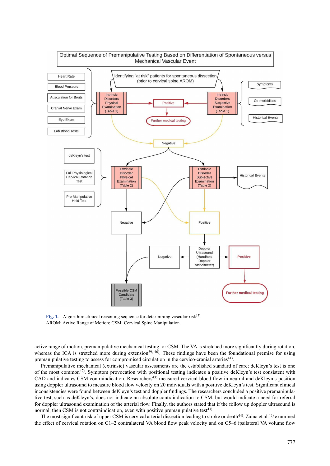

Fig. 1. Algorithm: clinical reasoning sequence for determining vascular risk<sup>[17\)](#page-8-8)</sup>. AROM: Active Range of Motion; CSM: Cervical Spine Manipulation.

active range of motion, premanipulative mechanical testing, or CSM. The VA is stretched more significantly during rotation, whereas the ICA is stretched more during extension<sup>[39,](#page-9-2) 40</sup>). These findings have been the foundational premise for using premanipulative testing to assess for compromised circulation in the cervico-cranial arteries<sup>[41\)](#page-9-3)</sup>.

Premanipulative mechanical (extrinsic) vascular assessments are the established standard of care; deKleyn's test is one of the most common<sup>[42\)](#page-9-4)</sup>. Symptom provocation with positional testing indicates a positive deKleyn's test consistent with CAD and indicates CSM contraindication. Researchers<sup>[43\)](#page-9-5)</sup> measured cervical blood flow in neutral and deKleyn's position using doppler ultrasound to measure blood flow velocity on 20 individuals with a positive deKleyn's test. Significant clinical inconsistencies were found between deKleyn's test and doppler findings. The researchers concluded a positive premanipulative test, such as deKleyn's, does not indicate an absolute contraindication to CSM, but would indicate a need for referral for doppler ultrasound examination of the arterial flow. Finally, the authors stated that if the follow up doppler ultrasound is normal, then CSM is not contraindication, even with positive premanipulative test<sup>[43\)](#page-9-5)</sup>.

The most significant risk of upper CSM is cervical arterial dissection leading to stroke or death<sup>[44\)](#page-9-6)</sup>. Zaina et al.<sup>[45\)](#page-9-7)</sup> examined the effect of cervical rotation on C1–2 contralateral VA blood flow peak velocity and on C5–6 ipsilateral VA volume flow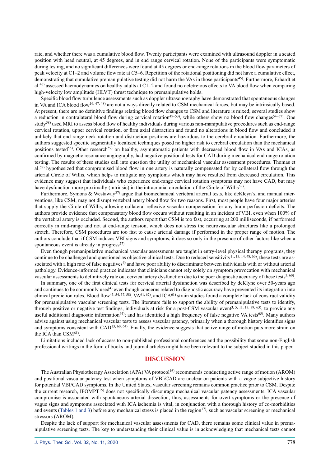rate, and whether there was a cumulative blood flow. Twenty participants were examined with ultrasound doppler in a seated position with head neutral, at 45 degrees, and in end range cervical rotation. None of the participants were symptomatic during testing, and no significant differences were found at 45 degrees or end-range rotations in the blood flow parameters of peak velocity at C1–2 and volume flow rate at C5–6. Repetition of the rotational positioning did not have a cumulative effect, demonstrating that cumulative premanipulative testing did not harm the VAs in those participants<sup>[45\)](#page-9-7)</sup>. Furthermore, Erhardt et al.<sup>[46](#page-9-8))</sup> assessed haemodynamics on healthy adults at C1–2 and found no deletreious effects to VA blood flow when comparing high-velocity low amplitude (HLVT) thrust technique to premanipulative holds.

Specific blood flow turbulence assessments such as doppler ultrasonography have demonstrated that spontaneous changes in VA and ICA blood flow<sup>[16, 47, 48](#page-8-7))</sup> are not always directly related to CSM mechanical forces, but may be intrinsically based. At present, there are no definitive findings relating blood flow changes to CSM and literature is mixed; several studies show a reduction in contralateral blood flow during cervical rotation<sup>[49–53](#page-9-9)</sup>), while others show no blood flow changes<sup>[54–57](#page-9-10)</sup>). One study<sup>[58\)](#page-9-11)</sup> used MRI to assess blood flow of healthy individuals during various non-manipulative procedures such as end-range cervical rotation, upper cervical rotation, or firm axial distraction and found no alterations in blood flow and concluded it unlikely that end-range neck rotation and distraction positions are hazardous to the cerebral circulation. Furthermore, the authors suggested specific segmentally localized techniques posed no higher risk to cerebral circulation than the mechanical positions tested<sup>[58](#page-9-11))</sup>. Other research<sup>59)</sup> on healthy, asymptomatic patients with decreased blood flow in VAs and ICAs, as confirmed by magnetic resonance angiography, had negative positional tests for CAD during mechanical end range rotation testing. The results of these studies call into question the utility of mechanical vascular assessment procedures. Thomas et al.<sup>[59](#page-9-12))</sup> hypothesized that compromised blood flow in one artery is naturally compensated for by collateral flow through the arterial Circle of Willis, which helps to mitigate any symptoms which may have resulted from decreased circulation. This evidence may suggest that individuals who experience end-range cervical rotation symptoms may not have CAD, but may have dysfunction more proximally (intrinsic) in the intracranial circulation of the Circle of Willis<sup>[59](#page-9-12))</sup>.

Furthermore, Symons & Westaway<sup>[27\)](#page-8-15)</sup> argue that biomechanical vertebral arterial tests, like deKleyn's, and manual interventions, like CSM, may not disrupt vertebral artery blood flow for two reasons. First, most people have four major arteries that supply the Circle of Willis, allowing collateral reflexive vascular compensation for any brain perfusion deficits. The authors provide evidence that compensatory blood flow occurs without resulting in an incident of VBI, even when 100% of the vertebral artery is occluded. Second, the authors report that CSM is too fast, occurring at 200 milliseconds, if performed correctly in mid-range and not at end-range tension, which does not stress the neurovascular structures like a prolonged stretch. Therefore, CSM procedures are too fast to cause arterial damage if performed in the proper range of motion. The authors conclude that if CSM induces VBI signs and symptoms, it does so only in the presence of other factors like when a spontaneous event is already in progress $^{27}$  $^{27}$  $^{27}$ .

Even though premanipulative mechanical vascular assessments are taught in entry-level physical therapy programs, they continue to be challenged and questioned as objective clinical tests. Due to reduced sensitivity<sup>[11, 13, 14, 48, 60](#page-8-14)</sup>), these tests are as-sociated with a high rate of false negatives<sup>[6\)](#page-8-16)</sup> and have poor ability to discriminate between individuals with or without arterial pathology. Evidence-informed practice indicates that clinicians cannot rely solely on symptom provocation with mechanical vascular assessments to definitively rule out cervical artery dysfunction due to the poor diagnostic accuracy of these tests $3,60$ .

In summary, one of the first clinical tests for cervical arterial dysfunction was described by deKlyne over 50-years ago and continues to be commonly used<sup>[4\)](#page-8-2)</sup> even though concerns related to diagnostic accuracy have prevented its integration into clinical prediction rules. Blood flow<sup>[45, 54, 57, 58](#page-9-7))</sup>, VA<sup>[61](#page-9-13), 62</sup>), and ICA<sup>61)</sup> strain studies found a complete lack of construct validity for premanipulative vascular screening tests. The literature fails to support the ability of premanipulative tests to identify, through positive or negative test findings, individuals at risk for a post-CSM vascular event<sup>3, 5, 11, 13, 39, 63</sup>, to provide any useful additional diagnostic information<sup>[64](#page-10-0))</sup>; and has identified a high frequency of false negative VA tests<sup>[65\)](#page-10-1)</sup>. Many authors advise against using mechanical vascular tests to assess vascular patency, primarily when a thorough history identifies signs and symptoms consistent with CAD<sup>[13, 60, 64](#page-8-4)</sup>). Finally, the evidence suggests that active range of motion puts more strain on the ICA than  $\text{CSM}^{61}$  $\text{CSM}^{61}$  $\text{CSM}^{61}$ .

Limitations included lack of access to non-published professional conferences and the possibility that some non-English professional writings in the form of books and journal articles might have been relevant to the subject studied in this paper.

### **DISCUSSION**

The Australian Physiotherapy Association (APA) VA protocol<sup>16</sup> recommends conducting active range of motion (AROM) and positional vascular patency test when symptoms of VBI/CAD are unclear on patients with a vague subjective history for potential VBI/CAD symptoms. In the United States, vascular screening remains common practice prior to CSM. Despite the current research, IFOMPT[15\)](#page-8-6) does not specifically discourage mechanical vascular patency assessments. ICA vascular compromise is associated with spontaneous arterial dissection; thus, assessments for overt symptoms or the presence of vague signs and symptoms associated with ICA ischemia is vital, in conjunction with a thorough history of co-morbidities and events (Tables 1 and 3) before any mechanical stress is placed in the region<sup>[17](#page-8-8)</sup>, such as vascular screening or mechanical stressors (AROM),

Despite the lack of support for mechanical vascular assessments for CAD, there remains some clinical value in premanipulative screening tests. The key to understanding their clinical value is in acknowledging that mechanical tests cannot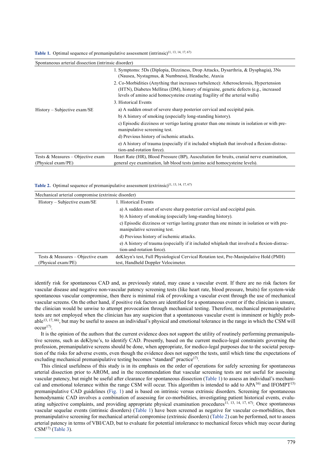|  |  |  |  | <b>Table 1.</b> Optimal sequence of premanipulative assessment (intrinsic) <sup>11, 13, 14, 17, 67)</sup> |  |  |
|--|--|--|--|-----------------------------------------------------------------------------------------------------------|--|--|
|--|--|--|--|-----------------------------------------------------------------------------------------------------------|--|--|

| Spontaneous arterial dissection (intrinsic disorder) |                                                                                                                                                                                                                                                              |  |  |
|------------------------------------------------------|--------------------------------------------------------------------------------------------------------------------------------------------------------------------------------------------------------------------------------------------------------------|--|--|
|                                                      | 1. Symptoms: 5Ds (Diplopia, Dizziness, Drop Attacks, Dysarthria, & Dysphagia), 3Ns<br>(Nausea, Nystagmus, & Numbness), Headache, Ataxia                                                                                                                      |  |  |
|                                                      | 2. Co-Morbidities (Anything that increases turbulence): Atherosclerosis, Hypertension<br>(HTN), Diabetes Mellitus (DM), history of migraine, genetic defects (e.g., increased<br>levels of amino acid homocysteine creating fragility of the arterial walls) |  |  |
|                                                      | 3. Historical Events                                                                                                                                                                                                                                         |  |  |
| $History - Subjective exam/SE$                       | a) A sudden onset of severe sharp posterior cervical and occipital pain.                                                                                                                                                                                     |  |  |
|                                                      | b) A history of smoking (especially long-standing history).                                                                                                                                                                                                  |  |  |
|                                                      | c) Episodic dizziness or vertigo lasting greater than one minute in isolation or with pre-<br>manipulative screening test.                                                                                                                                   |  |  |
|                                                      | d) Previous history of ischemic attacks.                                                                                                                                                                                                                     |  |  |
|                                                      | e) A history of trauma (especially if it included whiplash that involved a flexion-distrac-<br>tion-and-rotation force).                                                                                                                                     |  |  |
| Tests & Measures – Objective exam                    | Heart Rate (HR), Blood Pressure (BP), Auscultation for bruits, cranial nerve examination,                                                                                                                                                                    |  |  |
| (Physical exam/PE)                                   | general eye examination, lab blood tests (amino acid homocysteine levels).                                                                                                                                                                                   |  |  |

Table 2. Optimal sequence of premanipulative assessment (extrinsic)<sup>[11, 13, 14, 17, 67](#page-8-14))</sup>

| Mechanical arterial compromise (extrinsic disorder) |                                                                                                                            |  |  |  |
|-----------------------------------------------------|----------------------------------------------------------------------------------------------------------------------------|--|--|--|
| $History - Subjective exam/SE$                      | 1. Historical Events                                                                                                       |  |  |  |
|                                                     | a) A sudden onset of severe sharp posterior cervical and occipital pain.                                                   |  |  |  |
|                                                     | b) A history of smoking (especially long-standing history).                                                                |  |  |  |
|                                                     | c) Episodic dizziness or vertigo lasting greater than one minute in isolation or with pre-<br>manipulative screening test. |  |  |  |
|                                                     | d) Previous history of ischemic attacks.                                                                                   |  |  |  |
|                                                     | e) A history of trauma (especially if it included whiplash that involved a flexion-distrac-<br>tion-and-rotation force).   |  |  |  |
| Tests & Measures – Objective exam                   | deKleyn's test, Full Physiological Cervical Rotation test, Pre-Manipulative Hold (PMH)                                     |  |  |  |
| (Physical exam/PE)                                  | test, Handheld Doppler Velocimeter.                                                                                        |  |  |  |

identify risk for spontaneous CAD and, as previously stated, may cause a vascular event. If there are no risk factors for vascular disease and negative non-vascular patency screening tests (like heart rate, blood pressure, bruits) for system-wide spontaneous vascular compromise, then there is minimal risk of provoking a vascular event through the use of mechanical vascular screens. On the other hand, if positive risk factors are identified for a spontaneous event or if the clinician is unsure, the clinician would be unwise to attempt provocation through mechanical testing. Therefore, mechanical premanipulative tests are not employed when the clinician has any suspicion that a spontaneous vascular event is imminent or highly prob-able<sup>[13, 17, 66](#page-8-4))</sup>, but may be useful to assess an individual's physical and emotional tolerance in the range in which the CSM will occur[17](#page-8-8)) .

It is the opinion of the authors that the current evidence does not support the utility of routinely performing premanipulative screens, such as deKlyne's, to identify CAD. Presently, based on the current medico-legal constraints governing the profession, premanipulative screens should be done, when appropriate, for medico-legal purposes due to the societal perception of the risks for adverse events, even though the evidence does not support the tests, until which time the expectations of excluding mechanical premanipulative testing becomes "standard" practice<sup>[17\)](#page-8-8)</sup>.

This clinical usefulness of this study is in its emphasis on the order of operations for safely screening for spontaneous arterial dissection prior to AROM, and in the recommendation that vascular screening tests are not useful for assessing vascular patency, but might be useful after clearance for spontaneous dissection (Table 1) to assess an individual's mechanical and emotional tolerance within the range CSM will occur. This algorithm is intended to add to APA[16\)](#page-8-7) and IFOMPT[15\)](#page-8-6) premanipulative CAD guidelines (Fig. 1) and is based on intrinsic versus extrinsic disorders. Screening for spontaneous hemodynamic CAD involves a combination of assessing for co-morbidities, investigating patient historical events, evalu-ating subjective complaints, and providing appropriate physical examination procedures<sup>[11, 13, 14, 17, 67\)](#page-8-14)</sup>. Once spontaneous vascular sequelae events (intrinsic disorders) (Table 1) have been screened as negative for vascular co-morbidities, then premanipulative screening for mechanical arterial compromise (extrinsic disorders) (Table 2) can be performed, not to assess arterial patency in terms of VBI/CAD, but to evaluate for potential intolerance to mechanical forces which may occur during  $CSM<sup>17)</sup>$  $CSM<sup>17)</sup>$  $CSM<sup>17)</sup>$  (Table 3).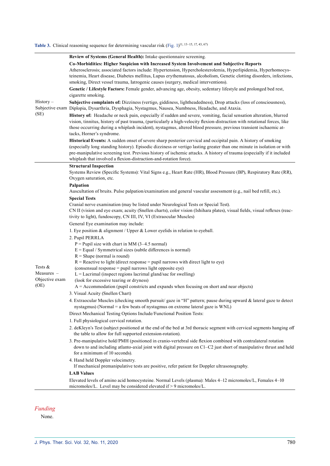#### Table 3. Clinical reasoning sequence for determining vascular risk (Fig. 1)<sup>[11, 13–15, 17, 43, 67](#page-8-14))</sup>

|                                      | Review of Systems (General Health): Intake questionnaire screening.                                                                                                                                                                                                                                                                                                                             |  |  |  |  |
|--------------------------------------|-------------------------------------------------------------------------------------------------------------------------------------------------------------------------------------------------------------------------------------------------------------------------------------------------------------------------------------------------------------------------------------------------|--|--|--|--|
|                                      | Co-Morbidities: Higher Suspicion with Increased System Involvement and Subjective Reports                                                                                                                                                                                                                                                                                                       |  |  |  |  |
|                                      | Atherosclerosis; associated factors include: Hypertension, Hypercholesterolemia, Hyperlipidemia, Hyperhomocys-                                                                                                                                                                                                                                                                                  |  |  |  |  |
|                                      | teinemia, Heart disease, Diabetes mellitus, Lupus erythematosus, alcoholism, Genetic clotting disorders, infections,<br>smoking, Direct vessel trauma, Iatrogenic causes (surgery, medical interventions).                                                                                                                                                                                      |  |  |  |  |
|                                      | Genetic / Lifestyle Factors: Female gender, advancing age, obesity, sedentary lifestyle and prolonged bed rest,                                                                                                                                                                                                                                                                                 |  |  |  |  |
|                                      | cigarette smoking.                                                                                                                                                                                                                                                                                                                                                                              |  |  |  |  |
| $History-$<br>(SE)                   | Subjective complaints of: Dizziness (vertigo, giddiness, lightheadedness), Drop attacks (loss of consciousness),                                                                                                                                                                                                                                                                                |  |  |  |  |
|                                      | Subjective exam Diplopia, Dysarthria, Dysphagia, Nystagmus, Nausea, Numbness, Headache, and Ataxia.                                                                                                                                                                                                                                                                                             |  |  |  |  |
|                                      | History of: Headache or neck pain, especially if sudden and severe, vomiting, facial sensation alteration, blurred<br>vision, tinnitus, history of past trauma, (particularly a high-velocity flexion-distraction with rotational forces, like<br>those occurring during a whiplash incident), nystagmus, altered blood pressure, previous transient ischaemic at-<br>tacks, Horner's syndrome. |  |  |  |  |
|                                      | Historical Events: A sudden onset of severe sharp posterior cervical and occipital pain. A history of smoking                                                                                                                                                                                                                                                                                   |  |  |  |  |
|                                      | (especially long standing history). Episodic dizziness or vertigo lasting greater than one minute in isolation or with<br>pre-manipulative screening test. Previous history of ischemic attacks. A history of trauma (especially if it included<br>whiplash that involved a flexion-distraction-and-rotation force).                                                                            |  |  |  |  |
|                                      | <b>Structural Inspection</b>                                                                                                                                                                                                                                                                                                                                                                    |  |  |  |  |
|                                      | Systems Review (Specific Systems): Vital Signs e.g., Heart Rate (HR), Blood Pressure (BP), Respiratory Rate (RR),<br>Oxygen saturation, etc.                                                                                                                                                                                                                                                    |  |  |  |  |
|                                      | Palpation<br>Auscultation of bruits. Pulse palpation/examination and general vascular assessment (e.g., nail bed refill, etc.).                                                                                                                                                                                                                                                                 |  |  |  |  |
|                                      | <b>Special Tests</b>                                                                                                                                                                                                                                                                                                                                                                            |  |  |  |  |
|                                      | Cranial nerve examination (may be listed under Neurological Tests or Special Test).<br>CN II (vision and eye exam; acuity (Snellen charts), color vision (Ishihara plates), visual fields, visual reflexes (reac-                                                                                                                                                                               |  |  |  |  |
|                                      | tivity to light), fundoscopy, CN III, IV, VI (Extraocular Muscles)                                                                                                                                                                                                                                                                                                                              |  |  |  |  |
|                                      | General Eye examination may include:                                                                                                                                                                                                                                                                                                                                                            |  |  |  |  |
|                                      | 1. Eye position $&$ alignment / Upper $&$ Lower eyelids in relation to eyeball.                                                                                                                                                                                                                                                                                                                 |  |  |  |  |
|                                      | 2. Pupil PERRLA                                                                                                                                                                                                                                                                                                                                                                                 |  |  |  |  |
|                                      | $P =$ Pupil size with chart in MM (3–4.5 normal)                                                                                                                                                                                                                                                                                                                                                |  |  |  |  |
|                                      | $E =$ Equal / Symmetrical sizes (subtle differences is normal)<br>$R =$ Shape (normal is round)                                                                                                                                                                                                                                                                                                 |  |  |  |  |
|                                      | $R$ = Reactive to light (direct response = pupil narrows with direct light to eye)                                                                                                                                                                                                                                                                                                              |  |  |  |  |
| Tests &                              | (consensual response = pupil narrows light opposite eye)                                                                                                                                                                                                                                                                                                                                        |  |  |  |  |
| Measures –<br>Objective exam<br>(OE) | $L =$ Lacrimal (inspect regions lacrimal gland/sac for swelling)                                                                                                                                                                                                                                                                                                                                |  |  |  |  |
|                                      | (look for excessive tearing or dryness)                                                                                                                                                                                                                                                                                                                                                         |  |  |  |  |
|                                      | $A =$ Accommodation (pupil constricts and expands when focusing on short and near objects)<br>3. Visual Acuity (Snellen Chart)                                                                                                                                                                                                                                                                  |  |  |  |  |
|                                      | 4. Extraocular Muscles (checking smooth pursuit/ gaze in "H" pattern; pause during upward & lateral gaze to detect                                                                                                                                                                                                                                                                              |  |  |  |  |
|                                      | nystagmus) (Normal = a few beats of nystagmus on extreme lateral gaze is WNL)                                                                                                                                                                                                                                                                                                                   |  |  |  |  |
|                                      | Direct Mechanical Testing Options Include/Functional Position Tests:                                                                                                                                                                                                                                                                                                                            |  |  |  |  |
|                                      | 1. Full physiological cervical rotation.                                                                                                                                                                                                                                                                                                                                                        |  |  |  |  |
|                                      | 2. deKleyn's Test (subject positioned at the end of the bed at 3rd thoracic segment with cervical segments hanging off<br>the table to allow for full supported extension-rotation).                                                                                                                                                                                                            |  |  |  |  |
|                                      | 3. Pre-manipulative hold/PMH (positioned in cranio-vertebral side flexion combined with contralateral rotation<br>down to and including atlanto-axial joint with digital pressure on C1-C2 just short of manipulative thrust and held                                                                                                                                                           |  |  |  |  |
|                                      | for a minimum of 10 seconds).                                                                                                                                                                                                                                                                                                                                                                   |  |  |  |  |
|                                      | 4. Hand held Doppler velocimetry.<br>If mechanical premanipulative tests are positive, refer patient for Doppler ultrasonography.                                                                                                                                                                                                                                                               |  |  |  |  |
|                                      | <b>LAB Values</b>                                                                                                                                                                                                                                                                                                                                                                               |  |  |  |  |
|                                      | Elevated levels of amino acid homocysteine. Normal Levels (plasma): Males 4–12 micromoles/L, Females 4–10                                                                                                                                                                                                                                                                                       |  |  |  |  |
|                                      | micromoles/L. Level may be considered elevated if > 9 micromoles/L.                                                                                                                                                                                                                                                                                                                             |  |  |  |  |

*Funding*

None.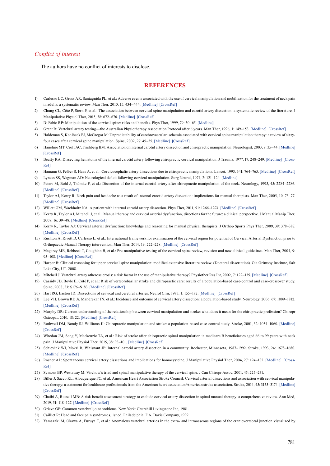### *Conflict of interest*

The authors have no conflict of interests to disclose.

#### **REFERENCES**

- <span id="page-8-0"></span>1) Carlesso LC, Gross AR, Santaguida PL, et al.: Adverse events associated with the use of cervical manipulation and mobilization for the treatment of neck pain in adults: a systematic review. Man Ther, 2010, 15: 434–444. [\[Medline\]](http://www.ncbi.nlm.nih.gov/pubmed/20227325?dopt=Abstract) [\[CrossRef\]](http://dx.doi.org/10.1016/j.math.2010.02.006)
- 2) Chung CL, Côté P, Stern P, et al.: The association between cervical spine manipulation and carotid artery dissection: a systematic review of the literature. J Manipulative Physiol Ther, 2015, 38: 672–676. [\[Medline\]](http://www.ncbi.nlm.nih.gov/pubmed/24387889?dopt=Abstract) [\[CrossRef\]](http://dx.doi.org/10.1016/j.jmpt.2013.09.005)
- <span id="page-8-1"></span>3) Di Fabio RP: Manipulation of the cervical spine: risks and benefits. Phys Ther, 1999, 79: 50–65. [\[Medline\]](http://www.ncbi.nlm.nih.gov/pubmed/9920191?dopt=Abstract)
- <span id="page-8-2"></span>4) Grant R: Vertebral artery testing—the Australian Physiotherapy Association Protocol after 6 years. Man Ther, 1996, 1: 149–153. [\[Medline\]](http://www.ncbi.nlm.nih.gov/pubmed/11440503?dopt=Abstract) [\[CrossRef\]](http://dx.doi.org/10.1054/math.1996.0264)
- 5) Haldeman S, Kohlbeck FJ, McGregor M: Unpredictability of cerebrovascular ischemia associated with cervical spine manipulation therapy: a review of sixtyfour cases after cervical spine manipulation. Spine, 2002, 27: 49–55. [\[Medline\]](http://www.ncbi.nlm.nih.gov/pubmed/11805635?dopt=Abstract) [\[CrossRef\]](http://dx.doi.org/10.1097/00007632-200201010-00012)
- <span id="page-8-16"></span>Haneline MT, Croft AC, Frishberg BM: Association of internal carotid artery dissection and chiropractic manipulation. Neurologist, 2003, 9: 35-44. [\[Medline\]](http://www.ncbi.nlm.nih.gov/pubmed/12801430?dopt=Abstract) [\[CrossRef\]](http://dx.doi.org/10.1097/01.nrl.0000038583.58012.10)
- 7) Beatty RA: Dissecting hematoma of the internal carotid artery following chiropractic cervical manipulation. J Trauma, 1977, 17: 248-249. [\[Medline\]](http://www.ncbi.nlm.nih.gov/pubmed/850283?dopt=Abstract) [\[Cross-](http://dx.doi.org/10.1097/00005373-197703000-00014)[Ref\]](http://dx.doi.org/10.1097/00005373-197703000-00014)
- 8) Hamann G, Felber S, Haas A, et al.: Cervicocephalic artery dissections due to chiropractic manipulations. Lancet, 1993, 341: 764–765. [\[Medline\]](http://www.ncbi.nlm.nih.gov/pubmed/8095672?dopt=Abstract) [\[CrossRef\]](http://dx.doi.org/10.1016/0140-6736(93)90545-R)
- 9) Lyness SS, Wagman AD: Neurological deficit following cervical manipulation. Surg Neurol, 1974, 2: 121–124. [\[Medline\]](http://www.ncbi.nlm.nih.gov/pubmed/4818635?dopt=Abstract)
- 10) Peters M, Bohl J, Thömke F, et al.: Dissection of the internal carotid artery after chiropractic manipulation of the neck. Neurology, 1995, 45: 2284–2286. [\[Medline\]](http://www.ncbi.nlm.nih.gov/pubmed/8848211?dopt=Abstract) [\[CrossRef\]](http://dx.doi.org/10.1212/WNL.45.12.2284)
- <span id="page-8-14"></span>11) Taylor AJ, Kerry R: Neck pain and headache as a result of internal carotid artery dissection: implications for manual therapists. Man Ther, 2005, 10: 73–77. [\[Medline\]](http://www.ncbi.nlm.nih.gov/pubmed/15681272?dopt=Abstract) [\[CrossRef\]](http://dx.doi.org/10.1016/j.math.2004.06.001)
- <span id="page-8-3"></span>12) Willett GM, Wachholtz NA: A patient with internal carotid artery dissection. Phys Ther, 2011, 91: 1266-1274. [\[Medline\]](http://www.ncbi.nlm.nih.gov/pubmed/21700762?dopt=Abstract) [\[CrossRef\]](http://dx.doi.org/10.2522/ptj.20100217)
- <span id="page-8-4"></span>13) Kerry R, Taylor AJ, Mitchell J, et al.: Manual therapy and cervical arterial dysfunction, directions for the future: a clinical perspective. J Manual Manip Ther, 2008, 16: 39–48. [\[Medline\]](http://www.ncbi.nlm.nih.gov/pubmed/19119383?dopt=Abstract) [\[CrossRef\]](http://dx.doi.org/10.1179/106698108790818620)
- <span id="page-8-5"></span>14) Kerry R, Taylor AJ: Cervical arterial dysfunction: knowledge and reasoning for manual physical therapists. J Orthop Sports Phys Ther, 2009, 39: 378–387. [\[Medline\]](http://www.ncbi.nlm.nih.gov/pubmed/19411768?dopt=Abstract) [\[CrossRef\]](http://dx.doi.org/10.2519/jospt.2009.2926)
- <span id="page-8-6"></span>15) Rushton A, Rivett D, Carlesso L, et al.: International framework for examination of the cervical region for potential of Cervical Arterial Dysfunction prior to Orthopaedic Manual Therapy intervention. Man Ther, 2014, 19: 222–228. [\[Medline\]](http://www.ncbi.nlm.nih.gov/pubmed/24378471?dopt=Abstract) [\[CrossRef\]](http://dx.doi.org/10.1016/j.math.2013.11.005)
- <span id="page-8-7"></span>16) Magarey ME, Rebbeck T, Coughlan B, et al.: Pre-manipulative testing of the cervical spine review, revision and new clinical guidelines. Man Ther, 2004, 9: 95–108. [\[Medline\]](http://www.ncbi.nlm.nih.gov/pubmed/15040969?dopt=Abstract) [\[CrossRef\]](http://dx.doi.org/10.1016/j.math.2003.12.002)
- <span id="page-8-8"></span>17) Harper B: Clinical reasoning for upper cervical spine manipulation: modified extensive literature review. (Doctoral dissertation). Ola Grimsby Institute, Salt Lake City, UT. 2008.
- <span id="page-8-10"></span>18) Mitchell J: Vertebral artery atherosclerosis: a risk factor in the use of manipulative therapy? Physiother Res Int, 2002, 7: 122–135. [\[Medline\]](http://www.ncbi.nlm.nih.gov/pubmed/12426910?dopt=Abstract) [\[CrossRef\]](http://dx.doi.org/10.1002/pri.249)
- <span id="page-8-9"></span>19) Cassidy JD, Boyle E, Côté P, et al.: Risk of vertebrobasilar stroke and chiropractic care: results of a population-based case-control and case-crossover study. Spine, 2008, 33: S176–S183. [\[Medline\]](http://www.ncbi.nlm.nih.gov/pubmed/18204390?dopt=Abstract) [\[CrossRef\]](http://dx.doi.org/10.1097/BRS.0b013e3181644600)
- 20) Hart RG, Easton JD: Dissections of cervical and cerebral arteries. Neurol Clin, 1983, 1: 155–182. [\[Medline\]](http://www.ncbi.nlm.nih.gov/pubmed/6680158?dopt=Abstract) [\[CrossRef\]](http://dx.doi.org/10.1016/S0733-8619(18)31177-0)
- 21) Lee VH, Brown RD Jr, Mandrekar JN, et al.: Incidence and outcome of cervical artery dissection: a population-based study. Neurology, 2006, 67: 1809-1812. [\[Medline\]](http://www.ncbi.nlm.nih.gov/pubmed/17130413?dopt=Abstract) [\[CrossRef\]](http://dx.doi.org/10.1212/01.wnl.0000244486.30455.71)
- 22) Murphy DR: Current understanding of the relationship between cervical manipulation and stroke: what does it mean for the chiropractic profession? Chiropr Osteopat, 2010, 18: 22. [\[Medline\]](http://www.ncbi.nlm.nih.gov/pubmed/20682039?dopt=Abstract) [\[CrossRef\]](http://dx.doi.org/10.1186/1746-1340-18-22)
- 23) Rothwell DM, Bondy SJ, Williams JI: Chiropractic manipulation and stroke: a population-based case-control study. Stroke, 2001, 32: 1054–1060. [\[Medline\]](http://www.ncbi.nlm.nih.gov/pubmed/11340209?dopt=Abstract) [\[CrossRef\]](http://dx.doi.org/10.1161/01.STR.32.5.1054)
- 24) Whedon JM, Song Y, Mackenzie TA, et al.: Risk of stroke after chiropractic spinal manipulation in medicare B beneficiaries aged 66 to 99 years with neck pain. J Manipulative Physiol Ther, 2015, 38: 93–101. [\[Medline\]](http://www.ncbi.nlm.nih.gov/pubmed/25596875?dopt=Abstract) [\[CrossRef\]](http://dx.doi.org/10.1016/j.jmpt.2014.12.001)
- 25) Schievink WI, Mokri B, Whisnant JP: Internal carotid artery dissection in a community. Rochester, Minnesota, 1987–1992. Stroke, 1993, 24: 1678–1680. [\[Medline\]](http://www.ncbi.nlm.nih.gov/pubmed/8236342?dopt=Abstract) [\[CrossRef\]](http://dx.doi.org/10.1161/01.STR.24.11.1678)
- 26) Rosner AL: Spontaneous cervical artery dissections and implications for homocysteine. J Manipulative Physiol Ther, 2004, 27: 124-132. [\[Medline\]](http://www.ncbi.nlm.nih.gov/pubmed/14970814?dopt=Abstract) [\[Cross-](http://dx.doi.org/10.1016/j.jmpt.2003.12.009)[Ref\]](http://dx.doi.org/10.1016/j.jmpt.2003.12.009)
- <span id="page-8-15"></span>27) Symons BP, Westaway M: Virchow's triad and spinal manipulative therapy of the cervical spine. J Can Chiropr Assoc, 2001, 45: 225–231.
- <span id="page-8-11"></span>28) Biller J, Sacco RL, Albuquerque FC, et al. American Heart Association Stroke Council: Cervical arterial dissections and association with cervical manipulative therapy: a statement for healthcare professionals from the American heart association/American stroke association. Stroke, 2014, 45: 3155–3174. [\[Medline\]](http://www.ncbi.nlm.nih.gov/pubmed/25104849?dopt=Abstract) [\[CrossRef\]](http://dx.doi.org/10.1161/STR.0000000000000016)
- 29) Chaibi A, Russell MB: A risk-benefit assessment strategy to exclude cervical artery dissection in spinal manual-therapy: a comprehensive review. Ann Med, 2019, 51: 118–127. [\[Medline\]](http://www.ncbi.nlm.nih.gov/pubmed/30889367?dopt=Abstract) [\[CrossRef\]](http://dx.doi.org/10.1080/07853890.2019.1590627)
- <span id="page-8-12"></span>30) Grieve GP: Common vertebral joint problems. New York: Churchill Livingstone Inc, 1981.
- 31) Cailliet R: Head and face pain syndromes, 1st ed. Philadelphia: F.A. Davis Company, 1992.
- <span id="page-8-13"></span>32) Yamazaki M, Okawa A, Furuya T, et al.: Anomalous vertebral arteries in the extra- and intraosseous regions of the craniovertebral junction visualized by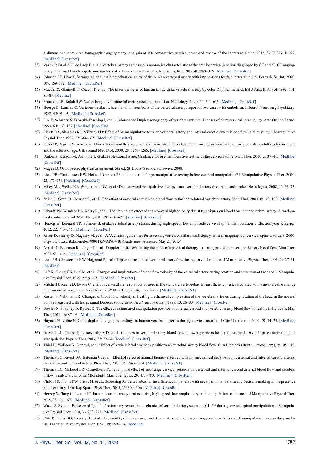3-dimensional computed tomographic angiography: analysis of 100 consecutive surgical cases and review of the literature. Spine, 2012, 37: E1389–E1397. [\[Medline\]](http://www.ncbi.nlm.nih.gov/pubmed/22825480?dopt=Abstract) [\[CrossRef\]](http://dx.doi.org/10.1097/BRS.0b013e31826a0c9f)

- 33) Vaněk P, Bradáč O, de Lacy P, et al.: Vertebral artery and osseous anomalies characteristic at the craniocervical junction diagnosed by CT and 3D CT angiography in normal Czech population: analysis of 511 consecutive patients. Neurosurg Rev, 2017, 40: 369–376. [\[Medline\]](http://www.ncbi.nlm.nih.gov/pubmed/27623783?dopt=Abstract) [\[CrossRef\]](http://dx.doi.org/10.1007/s10143-016-0784-x)
- <span id="page-9-0"></span>34) Johnson CP, How T, Scraggs M, et al.: A biomechanical study of the human vertebral artery with implications for fatal arterial injury. Forensic Sci Int, 2000, 109: 169–182. [\[Medline\]](http://www.ncbi.nlm.nih.gov/pubmed/10725653?dopt=Abstract) [\[CrossRef\]](http://dx.doi.org/10.1016/S0379-0738(99)00198-X)
- 35) Macchi C, Giannelli F, Cecchi F, et al.: The inner diameter of human intracranial vertebral artery by color Doppler method. Ital J Anat Embryol, 1996, 101: 81–87. [\[Medline\]](http://www.ncbi.nlm.nih.gov/pubmed/8997903?dopt=Abstract)
- <span id="page-9-1"></span>36) Frumkin LR, Baloh RW: Wallenberg's syndrome following neck manipulation. Neurology, 1990, 40: 611–615. [\[Medline\]](http://www.ncbi.nlm.nih.gov/pubmed/2181339?dopt=Abstract) [\[CrossRef\]](http://dx.doi.org/10.1212/WNL.40.4.611)
- 37) George B, Laurian C: Vertebro-basilar ischaemia with thrombosis of the vertebral artery: report of two cases with embolism. J Neurol Neurosurg Psychiatry, 1982, 45: 91–93. [\[Medline\]](http://www.ncbi.nlm.nih.gov/pubmed/7062079?dopt=Abstract) [\[CrossRef\]](http://dx.doi.org/10.1136/jnnp.45.1.91)
- 38) Sim E, Schwarz N, Biowski-Fasching I, et al.: Color-coded Duplex sonography of vertebral arteries. 11 cases of blunt cervical spine injury. Acta Orthop Scand, 1993, 64: 133–137. [\[Medline\]](http://www.ncbi.nlm.nih.gov/pubmed/8498169?dopt=Abstract) [\[CrossRef\]](http://dx.doi.org/10.3109/17453679308994553)
- <span id="page-9-2"></span>39) Rivett DA, Sharples KJ, Milburn PD: Effect of premanipulative tests on vertebral artery and internal carotid artery blood flow: a pilot study. J Manipulative Physiol Ther, 1999, 22: 368–375. [\[Medline\]](http://www.ncbi.nlm.nih.gov/pubmed/10478768?dopt=Abstract) [\[CrossRef\]](http://dx.doi.org/10.1016/S0161-4754(99)70081-3)
- 40) Scheel P, Ruge C, Schöning M: Flow velocity and flow volume measurements in the extracranial carotid and vertebral arteries in healthy adults: reference data and the effects of age. Ultrasound Med Biol, 2000, 26: 1261–1266. [\[Medline\]](http://www.ncbi.nlm.nih.gov/pubmed/11120363?dopt=Abstract) [\[CrossRef\]](http://dx.doi.org/10.1016/S0301-5629(00)00293-3)
- <span id="page-9-3"></span>41) Barker S, Kesson M, Ashmore J, et al.: Professional issue. Guidance for pre-manipulative testing of the cervical spine. Man Ther, 2000, 5: 37-40. [\[Medline\]](http://www.ncbi.nlm.nih.gov/pubmed/10688958?dopt=Abstract) [\[CrossRef\]](http://dx.doi.org/10.1054/math.1999.0230)
- <span id="page-9-4"></span>42) Magee D: Orthopaedic physical assessment, 5th ed. St. Louis: Saunders Elsevier, 2008.
- <span id="page-9-5"></span>43) Licht PB, Christensen HW, Høilund-Carlsen PF: Is there a role for premanipulative testing before cervical manipulation? J Manipulative Physiol Ther, 2000, 23: 175–179. [\[Medline\]](http://www.ncbi.nlm.nih.gov/pubmed/10771502?dopt=Abstract) [\[CrossRef\]](http://dx.doi.org/10.1016/S0161-4754(00)90247-1)
- <span id="page-9-6"></span>44) Miley ML, Wellik K.E. Wingerchuk DM, et al.: Does cervical manipulative therapy cause vertebral artery dissection and stroke? Neurologist, 2008, 14: 66–73. [\[Medline\]](http://www.ncbi.nlm.nih.gov/pubmed/18195663?dopt=Abstract) [\[CrossRef\]](http://dx.doi.org/10.1097/NRL.0b013e318164e53d)
- <span id="page-9-7"></span>45) Zaina C, Grant R, Johnson C, et al.: The effect of cervical rotation on blood flow in the contralateral vertebral artery. Man Ther, 2003, 8: 103–109. [\[Medline\]](http://www.ncbi.nlm.nih.gov/pubmed/12890438?dopt=Abstract) [\[CrossRef\]](http://dx.doi.org/10.1016/S1356-689X(02)00155-8)
- <span id="page-9-8"></span>46) Erhardt JW, Windsor BA, Kerry R, et al.: The immediate effect of atlanto-axial high velocity thrust techniques on blood flow in the vertebral artery: A randomized controlled trial. Man Ther, 2015, 20: 614–622. [\[Medline\]](http://www.ncbi.nlm.nih.gov/pubmed/25814193?dopt=Abstract) [\[CrossRef\]](http://dx.doi.org/10.1016/j.math.2015.02.008)
- 47) Herzog W, Leonard TR, Symons B, et al.: Vertebral artery strains during high-speed, low amplitude cervical spinal manipulation. J Electromyogr Kinesiol, 2012, 22: 740–746. [\[Medline\]](http://www.ncbi.nlm.nih.gov/pubmed/22483611?dopt=Abstract) [\[CrossRef\]](http://dx.doi.org/10.1016/j.jelekin.2012.03.005)
- 48) Rivett D, Shirley D, Magarey M, et al.: APA clinical guidelines for assessing vertebrobasilar insufficiency in the management of cervical spine disorders, 2006. https://www.scribd.com/doc/90011859/APA-VBI-Guidelines (Accessed May 27, 2015)
- <span id="page-9-9"></span>49) Arnold C, Bourassa R, Langer T, et al.: Doppler studies evaluating the effect of a physical therapy screening protocol on vertebral artery blood flow. Man Ther, 2004, 9: 13–21. [\[Medline\]](http://www.ncbi.nlm.nih.gov/pubmed/14723857?dopt=Abstract) [\[CrossRef\]](http://dx.doi.org/10.1016/S1356-689X(03)00087-0)
- 50) Licht PB, Christensen HW, Højgaard P, et al.: Triplex ultrasound of vertebral artery flow during cervical rotation. J Manipulative Physiol Ther, 1998, 21: 27–31. [\[Medline\]](http://www.ncbi.nlm.nih.gov/pubmed/9467098?dopt=Abstract)
- 51) Li YK, Zhang YK, Lu CM, et al.: Changes and implications of blood flow velocity of the vertebral artery during rotation and extension of the head. J Manipulative Physiol Ther, 1999, 22: 91–95. [\[Medline\]](http://www.ncbi.nlm.nih.gov/pubmed/10073624?dopt=Abstract) [\[CrossRef\]](http://dx.doi.org/10.1016/S0161-4754(99)70113-2)
- 52) Mitchell J, Keene D, Dyson C, et al.: Is cervical spine rotation, as used in the standard vertebrobasilar insufficiency test, associated with a measureable change in intracranial vertebral artery blood flow? Man Ther, 2004, 9: 220–227. [\[Medline\]](http://www.ncbi.nlm.nih.gov/pubmed/15522647?dopt=Abstract) [\[CrossRef\]](http://dx.doi.org/10.1016/j.math.2004.03.005)
- 53) Rossiti S, Volkmann R: Changes of blood flow velocity indicating mechanical compression of the vertebral arteries during rotation of the head in the normal human measured with transcranial Doppler sonography. Arq Neuropsiquiatr, 1995, 53: 26–33. [\[Medline\]](http://www.ncbi.nlm.nih.gov/pubmed/7575205?dopt=Abstract) [\[CrossRef\]](http://dx.doi.org/10.1590/S0004-282X1995000100005)
- <span id="page-9-10"></span>54) Bowler N, Shamley D, Davies R: The effect of a simulated manipulation position on internal carotid and vertebral artery blood flow in healthy individuals. Man Ther, 2011, 16: 87–93. [\[Medline\]](http://www.ncbi.nlm.nih.gov/pubmed/20709591?dopt=Abstract) [\[CrossRef\]](http://dx.doi.org/10.1016/j.math.2010.07.007)
- 55) Haynes M, Milne N: Color duplex sonographic findings in human vertebral arteries during cervical rotation. J Clin Ultrasound, 2001, 29: 14–24. [\[Medline\]](http://www.ncbi.nlm.nih.gov/pubmed/11180180?dopt=Abstract) [\[CrossRef\]](http://dx.doi.org/10.1002/1097-0096(200101)29:1<14::AID-JCU3>3.0.CO;2-H)
- 56) Quesnele JJ, Triano JJ, Noseworthy MD, et al.: Changes in vertebral artery blood flow following various head positions and cervical spine manipulation. J Manipulative Physiol Ther, 2014, 37: 22–31. [\[Medline\]](http://www.ncbi.nlm.nih.gov/pubmed/24239451?dopt=Abstract) [\[CrossRef\]](http://dx.doi.org/10.1016/j.jmpt.2013.07.008)
- 57) Thiel H, Wallace K, Donat J, et al.: Effect of various head and neck positions on vertebral artery blood flow. Clin Biomech (Bristol, Avon), 1994, 9: 105–110. [\[Medline\]](http://www.ncbi.nlm.nih.gov/pubmed/23916128?dopt=Abstract) [\[CrossRef\]](http://dx.doi.org/10.1016/0268-0033(94)90032-9)
- <span id="page-9-11"></span>Thomas LC, Rivett DA, Bateman G, et al.: Effect of selected manual therapy interventions for mechanical neck pain on vertebral and internal carotid arterial blood flow and cerebral inflow. Phys Ther, 2013, 93: 1563–1574. [\[Medline\]](http://www.ncbi.nlm.nih.gov/pubmed/23813088?dopt=Abstract) [\[CrossRef\]](http://dx.doi.org/10.2522/ptj.20120477)
- <span id="page-9-12"></span>59) Thomas LC, McLeod LR, Osmotherly PG, et al.: The effect of end-range cervical rotation on vertebral and internal carotid arterial blood flow and cerebral inflow: a sub analysis of an MRI study. Man Ther, 2015, 20: 475–480. [\[Medline\]](http://www.ncbi.nlm.nih.gov/pubmed/25529191?dopt=Abstract) [\[CrossRef\]](http://dx.doi.org/10.1016/j.math.2014.11.012)
- 60) Childs JD, Flynn TW, Fritz JM, et al.: Screening for vertebrobasilar insufficiency in patients with neck pain: manual therapy decision-making in the presence of uncertainty. J Orthop Sports Phys Ther, 2005, 35: 300–306. [\[Medline\]](http://www.ncbi.nlm.nih.gov/pubmed/15966541?dopt=Abstract) [\[CrossRef\]](http://dx.doi.org/10.2519/jospt.2005.35.5.300)
- <span id="page-9-13"></span>61) Herzog W, Tang C, Leonard T: Internal carotid artery strains during high-speed, low-amplitude spinal manipulations of the neck. J Manipulative Physiol Ther, 2015, 38: 664–671. [\[Medline\]](http://www.ncbi.nlm.nih.gov/pubmed/23140796?dopt=Abstract) [\[CrossRef\]](http://dx.doi.org/10.1016/j.jmpt.2012.09.005)
- 62) Wuest S, Symons B, Leonard T, et al.: Preliminary report: biomechanics of vertebral artery segments C1–C6 during cervical spinal manipulation. J Manipulative Physiol Ther, 2010, 33: 273–278. [\[Medline\]](http://www.ncbi.nlm.nih.gov/pubmed/20534313?dopt=Abstract) [\[CrossRef\]](http://dx.doi.org/10.1016/j.jmpt.2010.03.007)
- 63) Côté P, Kreitz BG, Cassidy JD, et al.: The validity of the extension-rotation test as a clinical screening procedure before neck manipulation: a secondary analysis. J Manipulative Physiol Ther, 1996, 19: 159–164. [\[Medline\]](http://www.ncbi.nlm.nih.gov/pubmed/8728458?dopt=Abstract)